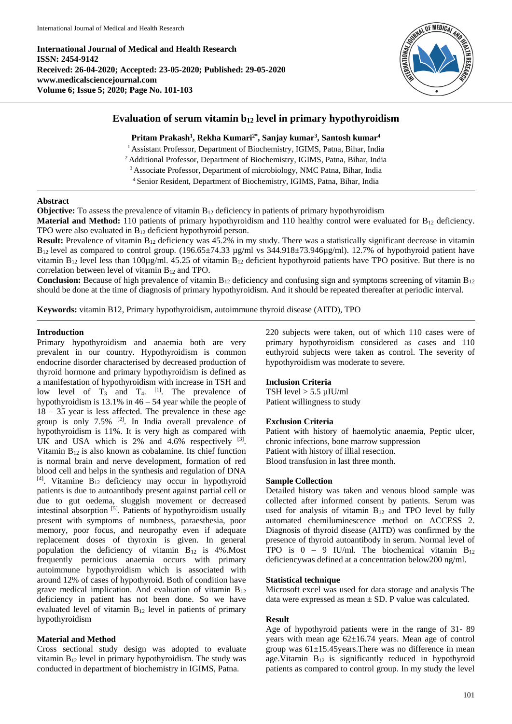**International Journal of Medical and Health Research ISSN: 2454-9142 Received: 26-04-2020; Accepted: 23-05-2020; Published: 29-05-2020 www.medicalsciencejournal.com Volume 6; Issue 5; 2020; Page No. 101-103**



# **Evaluation of serum vitamin b<sup>12</sup> level in primary hypothyroidism**

### **Pritam Prakash<sup>1</sup> , Rekha Kumari2\* , Sanjay kumar<sup>3</sup> , Santosh kumar<sup>4</sup>**

<sup>1</sup> Assistant Professor, Department of Biochemistry, IGIMS, Patna, Bihar, India

<sup>2</sup> Additional Professor, Department of Biochemistry, IGIMS, Patna, Bihar, India

<sup>3</sup> Associate Professor, Department of microbiology, NMC Patna, Bihar, India

<sup>4</sup> Senior Resident, Department of Biochemistry, IGIMS, Patna, Bihar, India

### **Abstract**

**Objective:** To assess the prevalence of vitamin B<sub>12</sub> deficiency in patients of primary hypothyroidism

**Material and Method:** 110 patients of primary hypothyroidism and 110 healthy control were evaluated for B<sub>12</sub> deficiency. TPO were also evaluated in  $B_{12}$  deficient hypothyroid person.

**Result:** Prevalence of vitamin B<sub>12</sub> deficiency was 45.2% in my study. There was a statistically significant decrease in vitamin  $B_{12}$  level as compared to control group. (196.65 $\pm$ 74.33 µg/ml vs 344.918 $\pm$ 73.946µg/ml). 12.7% of hypothyroid patient have vitamin  $B_{12}$  level less than 100µg/ml. 45.25 of vitamin  $B_{12}$  deficient hypothyroid patients have TPO positive. But there is no correlation between level of vitamin  $B_{12}$  and TPO.

**Conclusion:** Because of high prevalence of vitamin  $B_{12}$  deficiency and confusing sign and symptoms screening of vitamin  $B_{12}$ should be done at the time of diagnosis of primary hypothyroidism. And it should be repeated thereafter at periodic interval.

**Keywords:** vitamin B12, Primary hypothyroidism, autoimmune thyroid disease (AITD), TPO

## **Introduction**

Primary hypothyroidism and anaemia both are very prevalent in our country. Hypothyroidism is common endocrine disorder characterised by decreased production of thyroid hormone and primary hypothyroidism is defined as a manifestation of hypothyroidism with increase in TSH and low level of  $T_3$  and  $T_4$ . <sup>[1]</sup>. The prevalence of hypothyroidism is  $13.1\%$  in  $46 - 54$  year while the people of 18 – 35 year is less affected. The prevalence in these age group is only  $7.5\%$  <sup>[2]</sup>. In India overall prevalence of hypothyroidism is 11%. It is very high as compared with UK and USA which is  $2\%$  and  $4.6\%$  respectively  $^{[3]}$ . Vitamin  $B_{12}$  is also known as cobalamine. Its chief function is normal brain and nerve development, formation of red blood cell and helps in the synthesis and regulation of DNA [4] . Vitamine B<sup>12</sup> deficiency may occur in hypothyroid patients is due to autoantibody present against partial cell or due to gut oedema, sluggish movement or decreased intestinal absorption [5]. Patients of hypothyroidism usually present with symptoms of numbness, paraesthesia, poor memory, poor focus, and neuropathy even if adequate replacement doses of thyroxin is given. In general population the deficiency of vitamin  $B_{12}$  is 4%. Most frequently pernicious anaemia occurs with primary autoimmune hypothyroidism which is associated with around 12% of cases of hypothyroid. Both of condition have grave medical implication. And evaluation of vitamin  $B_{12}$ deficiency in patient has not been done. So we have evaluated level of vitamin  $B_{12}$  level in patients of primary hypothyroidism

## **Material and Method**

Cross sectional study design was adopted to evaluate vitamin  $B_{12}$  level in primary hypothyroidism. The study was conducted in department of biochemistry in IGIMS, Patna.

220 subjects were taken, out of which 110 cases were of primary hypothyroidism considered as cases and 110 euthyroid subjects were taken as control. The severity of hypothyroidism was moderate to severe.

## **Inclusion Criteria**

TSH level > 5.5 µIU/ml Patient willingness to study

#### **Exclusion Criteria**

Patient with history of haemolytic anaemia, Peptic ulcer, chronic infections, bone marrow suppression Patient with history of illial resection. Blood transfusion in last three month.

### **Sample Collection**

Detailed history was taken and venous blood sample was collected after informed consent by patients. Serum was used for analysis of vitamin  $B_{12}$  and TPO level by fully automated chemiluminescence method on ACCESS 2. Diagnosis of thyroid disease (AITD) was confirmed by the presence of thyroid autoantibody in serum. Normal level of TPO is  $0 - 9$  IU/ml. The biochemical vitamin  $B_{12}$ deficiencywas defined at a concentration below200 ng/ml.

#### **Statistical technique**

Microsoft excel was used for data storage and analysis The data were expressed as mean  $\pm$  SD. P value was calculated.

#### **Result**

Age of hypothyroid patients were in the range of 31- 89 years with mean age 62±16.74 years. Mean age of control group was 61±15.45years.There was no difference in mean age. Vitamin  $B_{12}$  is significantly reduced in hypothyroid patients as compared to control group. In my study the level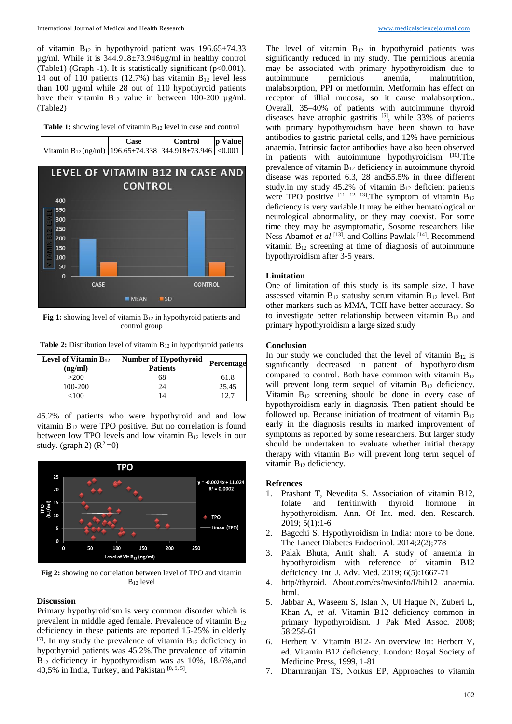of vitamin  $B_{12}$  in hypothyroid patient was  $196.65 \pm 74.33$ µg/ml. While it is 344.918±73.946µg/ml in healthy control (Table1) (Graph -1). It is statistically significant (p<0.001). 14 out of 110 patients (12.7%) has vitamin  $B_{12}$  level less than 100 µg/ml while 28 out of 110 hypothyroid patients have their vitamin  $B_{12}$  value in between 100-200  $\mu$ g/ml. (Table2)





**Fig 1:** showing level of vitamin B<sub>12</sub> in hypothyroid patients and control group

| Level of Vitamin B12<br>(ng/ml) | <b>Number of Hypothyroid</b><br><b>Patients</b> | Percentage |
|---------------------------------|-------------------------------------------------|------------|
| >200                            | 68                                              | 61.8       |
| 100-200                         | 24                                              | 25.45      |
| <100                            |                                                 | 12.7       |

**Table 2:** Distribution level of vitamin B<sub>12</sub> in hypothyroid patients

45.2% of patients who were hypothyroid and and low vitamin B<sup>12</sup> were TPO positive. But no correlation is found between low TPO levels and low vitamin B<sup>12</sup> levels in our study. (graph 2)  $(R^2=0)$ 



**Fig 2:** showing no correlation between level of TPO and vitamin B<sup>12</sup> level

### **Discussion**

Primary hypothyroidism is very common disorder which is prevalent in middle aged female. Prevalence of vitamin B<sup>12</sup> deficiency in these patients are reported 15-25% in elderly  $^{[7]}$ . In my study the prevalence of vitamin  $B_{12}$  deficiency in hypothyroid patients was 45.2%.The prevalence of vitamin B<sup>12</sup> deficiency in hypothyroidism was as 10%, 18.6%,and 40,5% in India, Turkey, and Pakistan.<sup>[8, 9, 5]</sup>.

The level of vitamin  $B_{12}$  in hypothyroid patients was significantly reduced in my study. The pernicious anemia may be associated with primary hypothyroidism due to autoimmune pernicious anemia, malnutrition, malabsorption, PPI or metformin. Metformin has effect on receptor of illial mucosa, so it cause malabsorption.. Overall, 35–40% of patients with autoimmune thyroid diseases have atrophic gastritis  $[5]$ , while 33% of patients with primary hypothyroidism have been shown to have antibodies to gastric parietal cells, and 12% have pernicious anaemia. Intrinsic factor antibodies have also been observed in patients with autoimmune hypothyroidism [10]. The prevalence of vitamin  $B_{12}$  deficiency in autoimmune thyroid disease was reported 6.3, 28 and55.5% in three different study.in my study 45.2% of vitamin  $B_{12}$  deficient patients were TPO positive  $[11, 12, 13]$ . The symptom of vitamin  $B_{12}$ deficiency is very variable.It may be either hematological or neurological abnormality, or they may coexist. For some time they may be asymptomatic, Sosome researchers like Ness Abamof et al <a>[13]</a>. and Collins Pawlak <a>[14]</a>. Recommend vitamin  $B_{12}$  screening at time of diagnosis of autoimmune hypothyroidism after 3-5 years.

#### **Limitation**

One of limitation of this study is its sample size. I have assessed vitamin  $B_{12}$  statusby serum vitamin  $B_{12}$  level. But other markers such as MMA, TCII have better accuracy. So to investigate better relationship between vitamin  $B_{12}$  and primary hypothyroidism a large sized study

#### **Conclusion**

In our study we concluded that the level of vitamin  $B_{12}$  is significantly decreased in patient of hypothyroidism compared to control. Both have common with vitamin  $B_{12}$ will prevent long term sequel of vitamin  $B_{12}$  deficiency. Vitamin  $B_{12}$  screening should be done in every case of hypothyroidism early in diagnosis. Then patient should be followed up. Because initiation of treatment of vitamin  $B_{12}$ early in the diagnosis results in marked improvement of symptoms as reported by some researchers. But larger study should be undertaken to evaluate whether initial therapy therapy with vitamin  $B_{12}$  will prevent long term sequel of vitamin  $B_{12}$  deficiency.

#### **Refrences**

- 1. Prashant T, Nevedita S. Association of vitamin B12, folate and ferritinwith thyroid hormone in hypothyroidism. Ann. Of Int. med. den. Research. 2019; 5(1):1-6
- Bagcchi S. Hypothyroidism in India: more to be done. The Lancet Diabetes Endocrinol. 2014;2(2);778
- 3. Palak Bhuta, Amit shah. A study of anaemia in hypothyroidism with reference of vitamin B12 deficiency. Int. J. Adv. Med. 2019; 6(5):1667-71
- 4. http//thyroid. About.com/cs/nwsinfo/I/bib12 anaemia. html.
- 5. Jabbar A, Waseem S, Islan N, UI Haque N, Zuberi L, Khan A, *et al*. Vitamin B12 deficiency common in primary hypothyroidism. J Pak Med Assoc. 2008; 58:258-61
- 6. Herbert V. Vitamin B12- An overview In: Herbert V, ed. Vitamin B12 deficiency. London: Royal Society of Medicine Press, 1999, 1-81
- 7. Dharmranjan TS, Norkus EP, Approaches to vitamin